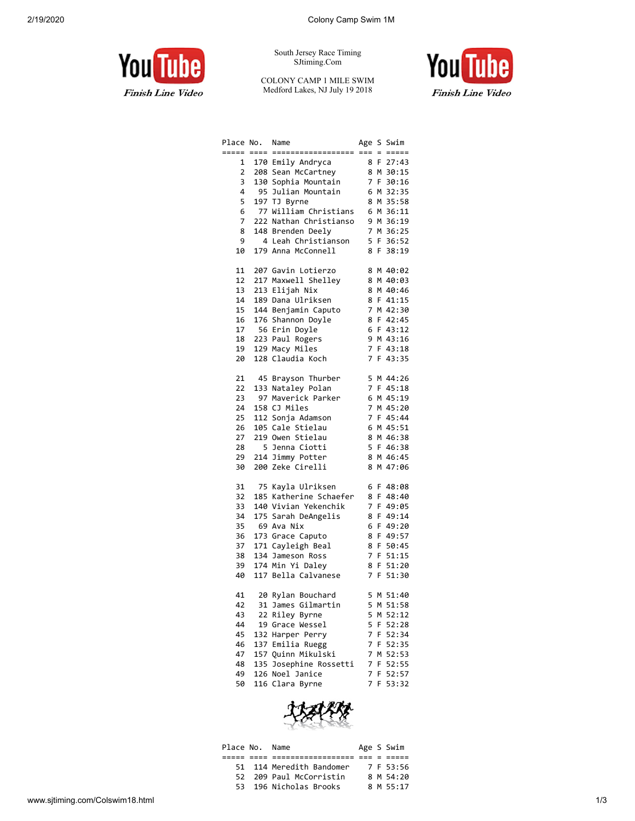

South Jersey Race Timing SJtiming.Com

COLONY CAMP 1 MILE SWIM Medford Lakes, NJ July 19 2018



| Place<br>===== | No.<br>==== | Name<br>======================== | Age |     | S Swim<br>= ===== |
|----------------|-------------|----------------------------------|-----|-----|-------------------|
| $\mathbf{1}$   |             | 170 Emily Andryca                |     |     | 8 F 27:43         |
|                |             | 208 Sean McCartney               |     |     | 8 M 30:15         |
| $\frac{2}{3}$  |             | 130 Sophia Mountain              |     |     | 7 F 30:16         |
| 4              |             | 95 Julian Mountain               |     |     | 6 M 32:35         |
| 5              |             |                                  |     |     |                   |
|                |             | 197 TJ Byrne                     |     |     | 8 M 35:58         |
| 6              |             | 77 William Christians            |     |     | 6 M 36:11         |
| 7              |             | 222 Nathan Christianso           |     |     | 9 M 36:19         |
| 8              |             | 148 Brenden Deely                | 7   |     | M 36:25           |
| 9              |             | 4 Leah Christianson              |     |     | 5 F 36:52         |
| 10             |             | 179 Anna McConnell               |     | 8 F | 38:19             |
| 11             |             | 207 Gavin Lotierzo               |     |     | 8 M 40:02         |
| 12             |             | 217 Maxwell Shelley              | 8   |     | M 40:03           |
| 13             |             | 213 Elijah Nix                   |     |     | 8 M 40:46         |
| 14             |             | 189 Dana Ulriksen                |     |     | 8 F 41:15         |
| 15             |             | 144 Benjamin Caputo              |     |     | 7 M 42:30         |
| 16             |             | 176 Shannon Doyle                |     |     | 8 F 42:45         |
| 17             |             | 56 Erin Doyle                    |     |     | 6 F 43:12         |
| 18             |             | 223 Paul Rogers                  |     |     | 9 M 43:16         |
| 19             |             | 129 Macy Miles                   |     |     | 7 F 43:18         |
| 20             |             | 128 Claudia Koch                 | 7   | F.  | 43:35             |
|                |             |                                  |     |     |                   |
| 21             |             | 45 Brayson Thurber               |     |     | 5 M 44:26         |
| 22             |             | 133 Nataley Polan                |     |     | 7 F 45:18         |
| 23             |             | 97 Maverick Parker               |     |     | 6 M 45:19         |
| 24             |             | 158 CJ Miles                     |     |     | 7 M 45:20         |
| 25             |             | 112 Sonja Adamson                |     |     | 7 F 45:44         |
| 26             |             | 105 Cale Stielau                 |     |     | 6 M 45:51         |
| 27             |             | 219 Owen Stielau                 |     |     | 8 M 46:38         |
| 28             | 5           | Jenna Ciotti                     |     |     | 5 F 46:38         |
| 29             |             | 214 Jimmy Potter                 | 8   |     | M 46:45           |
|                |             | 200 Zeke Cirelli                 |     |     |                   |
| 30             |             |                                  | 8   |     | M 47:06           |
| 31             |             | 75 Kayla Ulriksen                |     |     | 6 F 48:08         |
| 32             |             | 185 Katherine Schaefer           |     |     | 8 F 48:40         |
| 33             |             | 140 Vivian Yekenchik             |     |     | 7 F 49:05         |
| 34             |             | 175 Sarah DeAngelis              | 8   |     | F 49:14           |
| 35             |             | 69 Ava Nix                       | 6   |     | F 49:20           |
| 36             |             | 173 Grace Caputo                 | 8   |     | F 49:57           |
| 37             |             | 171 Cayleigh Beal                | 8   |     | F 50:45           |
| 38             |             | 134 Jameson Ross                 |     |     | 7 F 51:15         |
|                |             |                                  |     |     |                   |
| 39             |             | 174 Min Yi Daley                 |     |     | 8 F 51:20         |
| 40             |             | 117 Bella Calvanese              |     |     | 7 F 51:30         |
| 41             |             | 20 Rylan Bouchard                |     |     | 5 M 51:40         |
| 42             | 31          | James Gilmartin                  | 5   | м   | 51:58             |
| 43             | 22          | Riley Byrne                      | 5   | М   | 52:12             |
| 44             | 19          | Grace Wessel                     | 5   | F   | 52:28             |
| 45             | 132         | Harper Perry                     | 7   | F   | 52:34             |
| 46             | 137         | Emilia Ruegg                     | 7   | F   | 52:35             |
| 47             | 157         | Quinn Mikulski                   | 7   | м   | 52:53             |
| 48             |             | 135 Josephine Rossetti           | 7   | F   | 52:55             |
| 49             |             | 126 Noel Janice                  | 7   | F   | 52:57             |
| 50             |             | 116 Clara Byrne                  |     |     | 7 F 53:32         |
|                |             |                                  |     |     |                   |



|  | Place No. Name |                          |  | Age S Swim |
|--|----------------|--------------------------|--|------------|
|  |                |                          |  |            |
|  |                | 51 114 Meredith Bandomer |  | 7 F 53:56  |
|  |                | 52 209 Paul McCorristin  |  | 8 M 54:20  |
|  |                | 53 196 Nicholas Brooks   |  | 8 M 55:17  |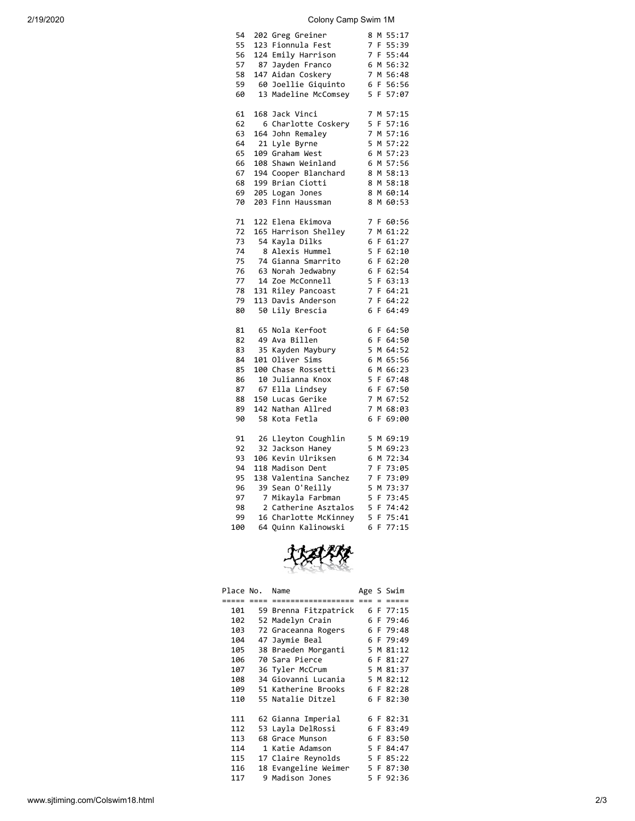## 2/19/2020 Colony Camp Swim 1M

| 54  |     | 202 Greg Greiner      | 55:17<br>8<br>М               |
|-----|-----|-----------------------|-------------------------------|
| 55  |     | 123 Fionnula Fest     | 7<br>F<br>55:39               |
| 56  |     |                       | 7 F                           |
|     |     | 124 Emily Harrison    | 55:44                         |
| 57  | 87  | Jayden Franco         | 6 M 56:32                     |
| 58  |     | 147 Aidan Coskery     | $\overline{7}$<br>M 56:48     |
| 59  |     | 60 Joellie Giquinto   | 6<br>F<br>56:56               |
| 60  | 13  | Madeline McComsey     | 5 F<br>57:07                  |
|     |     |                       |                               |
| 61  |     | 168 Jack Vinci        | M 57:15<br>7                  |
|     |     |                       |                               |
| 62  |     | 6 Charlotte Coskery   | 5<br>F.<br>57:16              |
| 63  |     | 164 John Remaley      | $\overline{7}$<br>M<br>57:16  |
| 64  | 21  | Lyle Byrne            | 5 M 57:22                     |
| 65  |     | 109 Graham West       | 6<br>M 57:23                  |
| 66  |     | 108 Shawn Weinland    | 6 M 57:56                     |
| 67  |     | 194 Cooper Blanchard  | 8<br>M 58:13                  |
| 68  |     | 199 Brian Ciotti      | 8 M 58:18                     |
| 69  |     | 205 Logan Jones       | M 60:14<br>8                  |
|     |     |                       |                               |
| 70  |     | 203 Finn Haussman     | M 60:53<br>8                  |
|     |     |                       |                               |
| 71  |     | 122 Elena Ekimova     | 7<br>F.<br>60:56              |
| 72  |     | 165 Harrison Shelley  | 7<br>M 61:22                  |
| 73  |     | 54 Kayla Dilks        | 6<br>F<br>61:27               |
| 74  |     | 8 Alexis Hummel       | 5<br>62:10<br>F.              |
| 75  |     | 74 Gianna Smarrito    | 6<br>F 62:20                  |
|     |     |                       | 6 F 62:54                     |
| 76  |     | 63 Norah Jedwabny     |                               |
| 77  |     | 14 Zoe McConnell      | 5<br>F 63:13                  |
| 78  |     | 131 Riley Pancoast    | $\overline{7}$<br>64:21<br>F. |
| 79  |     | 113 Davis Anderson    | $\overline{7}$<br>F.<br>64:22 |
| 80  |     | 50 Lily Brescia       | F<br>64:49<br>6               |
|     |     |                       |                               |
| 81  |     | 65 Nola Kerfoot       | 6<br>F<br>64:50               |
| 82  |     | 49 Ava Billen         | 6<br>F.<br>64:50              |
|     |     |                       |                               |
| 83  |     | 35 Kayden Maybury     | 5 M 64:52                     |
| 84  |     | 101 Oliver Sims       | 6 M 65:56                     |
| 85  |     | 100 Chase Rossetti    | 6<br>M 66:23                  |
| 86  |     | 10 Julianna Knox      | 5<br>F.<br>67:48              |
| 87  |     | 67 Ella Lindsey       | 6<br>F 67:50                  |
| 88  |     | 150 Lucas Gerike      | $\overline{7}$<br>M 67:52     |
| 89  | 142 | Nathan Allred         | 7<br>M 68:03                  |
| 90  |     | 58 Kota Fetla         | 6<br>F<br>69:00               |
|     |     |                       |                               |
|     |     |                       |                               |
| 91  |     | 26 Lleyton Coughlin   | 5<br>M 69:19                  |
| 92  |     | 32 Jackson Haney      | 5 M 69:23                     |
| 93  |     | 106 Kevin Ulriksen    | 6 M 72:34                     |
| 94  |     | 118 Madison Dent      | F<br>7<br>73:05               |
| 95  |     | 138 Valentina Sanchez | 7<br>F.<br>73:09              |
| 96  |     | 39 Sean O'Reilly      | 5 M 73:37                     |
| 97  | 7   | Mikayla Farbman       | 5<br>F.<br>73:45              |
| 98  |     | 2 Catherine Asztalos  | 5<br>F<br>74:42               |
|     |     |                       |                               |
| 99  |     | 16 Charlotte McKinney | 5 F<br>75:41                  |
| 100 |     | 64 Quinn Kalinowski   | 6<br>F<br>77:15               |



|      | Place No. | Name                  |  | Age S Swim |
|------|-----------|-----------------------|--|------------|
| ==== | $====$    | ==================    |  |            |
| 101  |           | 59 Brenna Fitzpatrick |  | 6 F 77:15  |
| 102  |           | 52 Madelyn Crain      |  | 6 F 79:46  |
| 103  |           | 72 Graceanna Rogers   |  | 6 F 79:48  |
| 104  |           | 47 Jaymie Beal        |  | 6 F 79:49  |
| 105  |           | 38 Braeden Morganti   |  | 5 M 81:12  |
| 106  |           | 70 Sara Pierce        |  | 6 F 81:27  |
| 107  |           | 36 Tyler McCrum       |  | 5 M 81:37  |
| 108  |           | 34 Giovanni Lucania   |  | 5 M 82:12  |
| 109  |           | 51 Katherine Brooks   |  | 6 F 82:28  |
| 110  |           | 55 Natalie Ditzel     |  | 6 F 82:30  |
|      |           |                       |  |            |
| 111  |           | 62 Gianna Imperial    |  | 6 F 82:31  |
| 112  |           | 53 Layla DelRossi     |  | 6 F 83:49  |
| 113  |           | 68 Grace Munson       |  | 6 F 83:50  |
| 114  |           | 1 Katie Adamson       |  | 5 F 84:47  |
| 115  |           | 17 Claire Reynolds    |  | 5 F 85:22  |
| 116  |           | 18 Evangeline Weimer  |  | 5 F 87:30  |
| 117  |           | 9 Madison Jones       |  | 5 F 92:36  |